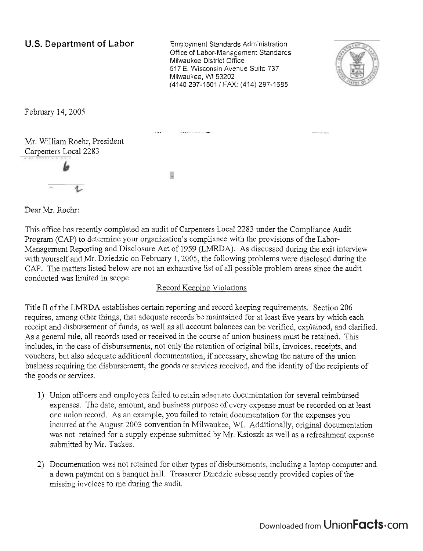### U.S. Department of Labor Employment Standards Administration

Office of Labor-Management Standards Milwaukee District Office 517 E. Wisconsin Avenue Suite 737 Milwaukee, WI 53202 (4140 297-1501 1 FAX: (414) 297-1685

-- -- -- - - --



February 14,2005

Mr. William Roehr, President Carpenters Local 2283

g.

Dear Mr. Roehr:

This office has recently completed an audit of Carpenters Local 2283 under the Compliance Audit Program (CAP) to determine your organization's compliance with the provisions of the Labor-Management Reporting and Disclosure Act of 1959 (LMRDA). As discussed during the exit interview with yourself and Mr. Dziedzic on February 1,2005, the following problems were disclosed during the CAP. The matters listed below are not an exhaustive list of all possible problem areas since the audit conducted was limited in scope.

#### Record Keeping Violations

Title I1 of the LMRDA establishes certain reporting and record keeping requirements. Section 206 requires, among other things, that adequate records be maintained for at least five years by which each receipt and disbursement of funds, as well as all account balances can be verified, explained, and clarified. As a general rule, all records used or received in the course of union business must be retained. This includes, in the case of disbursements, not only the retention of original bills, invoices, receipts, and vouchers, but also adequate additional documentation, if necessary, showing the nature of the union business requiring the disbursement, the goods or services received, and the identity of the recipients of the goods or services.

- 1) Union officers and employees failed to retain adequate documentation for several reimbursed expenses. The date, amount, and business purpose of every expense must be recorded on at least one union record. As an example, you failed to retain documentation for the expenses you incurred at the August 2003 convention in Milwaukee, M. Additionally, original documentation was not retained for a supply expense submitted by Mr. Ksioszk as well as a refreshment expense submitted by Mr. Tackes.
- 2) Documentation was not retained for other types of disbursements, including a laptop computer and a down payment on a banquet hall. Treasurer Dziedzic subsequently provided copies of the missing invoices to me during the audit.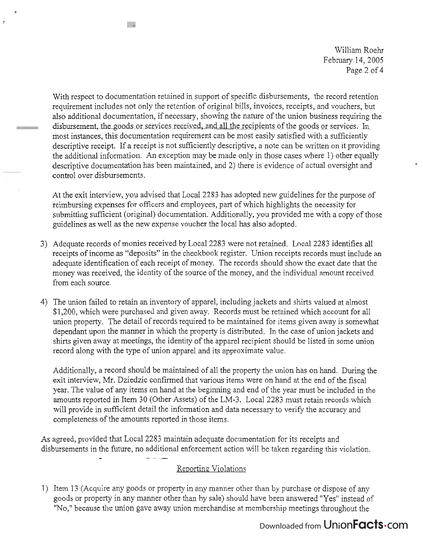William Roehr February 14, *2005*  Page *2* of 4

With respect to documentation retained in support of specific disbursements, the record retention requirement includes not only the retention of original bills, invoices, receipts, and vouchers, but also additional documentation, if necessary, showing the nature of the union business requiring the disbursement, the goods or services received, and all the recipients of the goods or services. In most instances, this documentation requirement can be most easily satisfied with a sufficiently descriptive receipt. If a receipt is not sufficiently descriptive, a note can be written on it providing the additional information. An exception may be made only in those cases where 1) other equally descriptive documentation has been maintained, and 2) there is evidence of actual oversight and control over disbursements.

- 3

 $\mu$ 

At the exit interview, you advised that Local 2283 has adopted new guidelines for the purpose of reimbursing expenses for officers and employees, part of which highlights the necessity for submitting sufficient (original) documentation. Additionally, you provided me with a copy of those guidelines as we11 as the new expense voucher the local has also adopted.

- 3) Adequate records of monies received by Local 2283 were not retained. Local 2283 identifies all receipts of income as "deposits" in the checkbook register. Union receipts records must include an adequate identification of each receipt of money. The records should show the exact date that the money was received, the identity of the source of the money, and the individual amount received from each source.
- 4) The union failed to retain an inventory of apparel, including jackets and shirts valued at almost \$1,200, which were purchased and given away. Records must be retained which account for all union property. The detail of records required to be maintained for items given away is somewhat dependant upon the manner in which the property is distributed. In the case of union jackets and shirts given away at meetings, the identity of the apparel recipient should be listed in some union record along with the type of union apparel and its approximate value.

Additionally, a record should be maintained of all the property the union has on hand. During the exit interview, Mr. Dziedzic confirmed that various items were on hand at the end of the fiscal year. The value of any items on hand at the beginning and end of the year must be included in the amounts reported in Item 30 (Other Assets) of the LM-3. Local 2283 must retain records which will provide in sufficient detail the information and data necessary to verify the accuracy and completeness of the amounts reported in those items.

As agreed, provided that Local 2283 maintain adequate documentation for its receipts and disbursements in the future, no additional enforcement action will be taken regarding this violation.

## Reporting. Violations

1) Item 13 (Acquire any goods or property in any manner other than by purchase or dispose of any goods or property in any manner other than by sale) should have been answered "Yes" instead of "No," because the union gave away union merchandise at membership meetings throughout the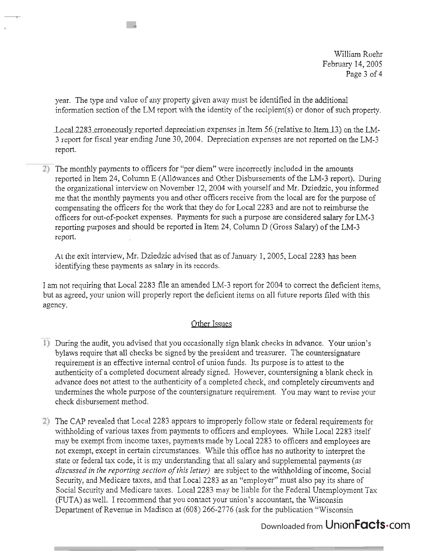William Roehr February 14,2005 Page 3 of 4

year. The type and value of any property given away must be identified in the additional information section of the LM report with the identity of the recipient(s) or donor of such property.

Local 2283 erroneously reported depreciation expenses in Item 56 (relative to Item 13) on the LM-3 report for fiscal year ending June 30,2004. Depreciation expenses are not reported on the LM-3 report.

The monthly payments to officers for "per diem" were incorrectly included in the amounts reported in Item 24, Column E (Allbwances and Other Disbursements of the LM-3 report). During the organizational interview on November 12,2004 with yourself and Mr. Dziedzic, you informed me that the monthly payments you and other officers receive from the local are for the purpose of compensating the officers for the work that they do for Local 2283 and are not to reimburse the officers for out-of-pocket expenses. Payments for such a purpose are considered salary for LM-3 reporting purposes and should be reported in Item 24, Column D (Gross Salary) of the LM-3 report.

At the exit interview, Mr. Dziedzic advised that as of January I, 2005, Local 2283 has been identifying these payments as salary in its records.

I am not requiring that Local 2283 file an amended LM-3 report for 2004 to correct the deficient items, but as agreed, your union will properly report the deficient items on all future reports filed with this agency.

#### Other Issues

- During the audit, you advised that you occasionally sign blank checks in advance. Your union's bylaws require that all checks be signed by the president and treasurer. The countersignature requirement is an effective internal control of union funds. Its purpose is to attest to the authenticity of a completed document already signed. However, countersigning a blank check in advance does not attest to the authenticity of a completed check, and completely circumvents and undermines the whole purpose of the countersignature requirement. You may want to revise your check disbursement method.
- The CAP revealed that Local 2283 appears to improperly follow state or federal requirements for withholding of various taxes from payments to officers and employees. While Local 2283 itself may be exempt from income taxes, payments made by Local 2283 to officers and employees are not exempt, except in certain circumstances. While this office has no authority to interpret the state or federal tax code, it is my understanding that all salary and supplemental payments (as *discussed* in *the reporting section ofthis letter)* are subject to the withholding of income, Social Security, and Medicare taxes, and that Local 2283 as an "employer" must also pay its share of Social Security and Medicare taxes. Local 2283 may be liable for the Federal Unemployment Tax (FUTA) as well. I recommend that you contact your union's accountant, the Wisconsin Department of Revenue in Madison at (608) 266-2776 (ask for the publication "Wisconsin

# Downloaded from UnionFacts.com